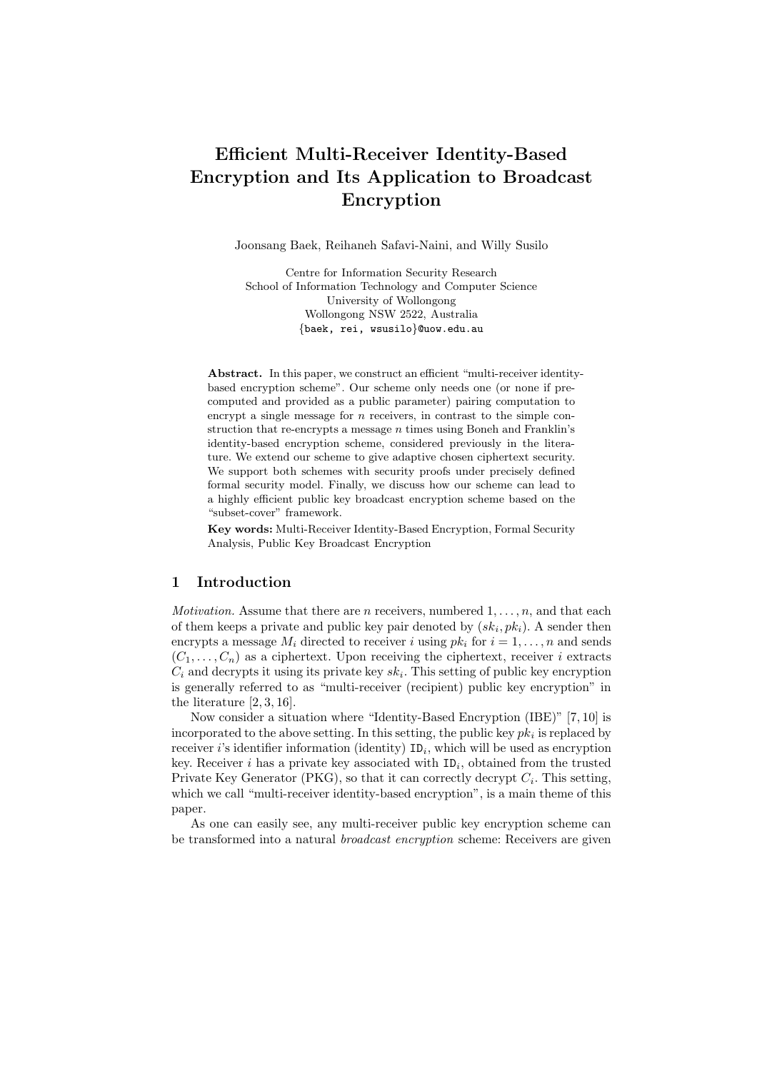# Efficient Multi-Receiver Identity-Based Encryption and Its Application to Broadcast Encryption

Joonsang Baek, Reihaneh Safavi-Naini, and Willy Susilo

Centre for Information Security Research School of Information Technology and Computer Science University of Wollongong Wollongong NSW 2522, Australia {baek, rei, wsusilo}@uow.edu.au

Abstract. In this paper, we construct an efficient "multi-receiver identitybased encryption scheme". Our scheme only needs one (or none if precomputed and provided as a public parameter) pairing computation to encrypt a single message for  $n$  receivers, in contrast to the simple construction that re-encrypts a message  $n$  times using Boneh and Franklin's identity-based encryption scheme, considered previously in the literature. We extend our scheme to give adaptive chosen ciphertext security. We support both schemes with security proofs under precisely defined formal security model. Finally, we discuss how our scheme can lead to a highly efficient public key broadcast encryption scheme based on the "subset-cover" framework.

Key words: Multi-Receiver Identity-Based Encryption, Formal Security Analysis, Public Key Broadcast Encryption

## 1 Introduction

*Motivation.* Assume that there are *n* receivers, numbered  $1, \ldots, n$ , and that each of them keeps a private and public key pair denoted by  $(s k_i, p k_i)$ . A sender then encrypts a message  $M_i$  directed to receiver i using  $pk_i$  for  $i = 1, \ldots, n$  and sends  $(C_1, \ldots, C_n)$  as a ciphertext. Upon receiving the ciphertext, receiver i extracts  $C_i$  and decrypts it using its private key  $sk_i$ . This setting of public key encryption is generally referred to as "multi-receiver (recipient) public key encryption" in the literature [2, 3, 16].

Now consider a situation where "Identity-Based Encryption (IBE)" [7, 10] is incorporated to the above setting. In this setting, the public key  $pk_i$  is replaced by receiver *i*'s identifier information (identity)  $ID_i$ , which will be used as encryption key. Receiver i has a private key associated with  $ID_i$ , obtained from the trusted Private Key Generator (PKG), so that it can correctly decrypt  $C_i$ . This setting, which we call "multi-receiver identity-based encryption", is a main theme of this paper.

As one can easily see, any multi-receiver public key encryption scheme can be transformed into a natural broadcast encryption scheme: Receivers are given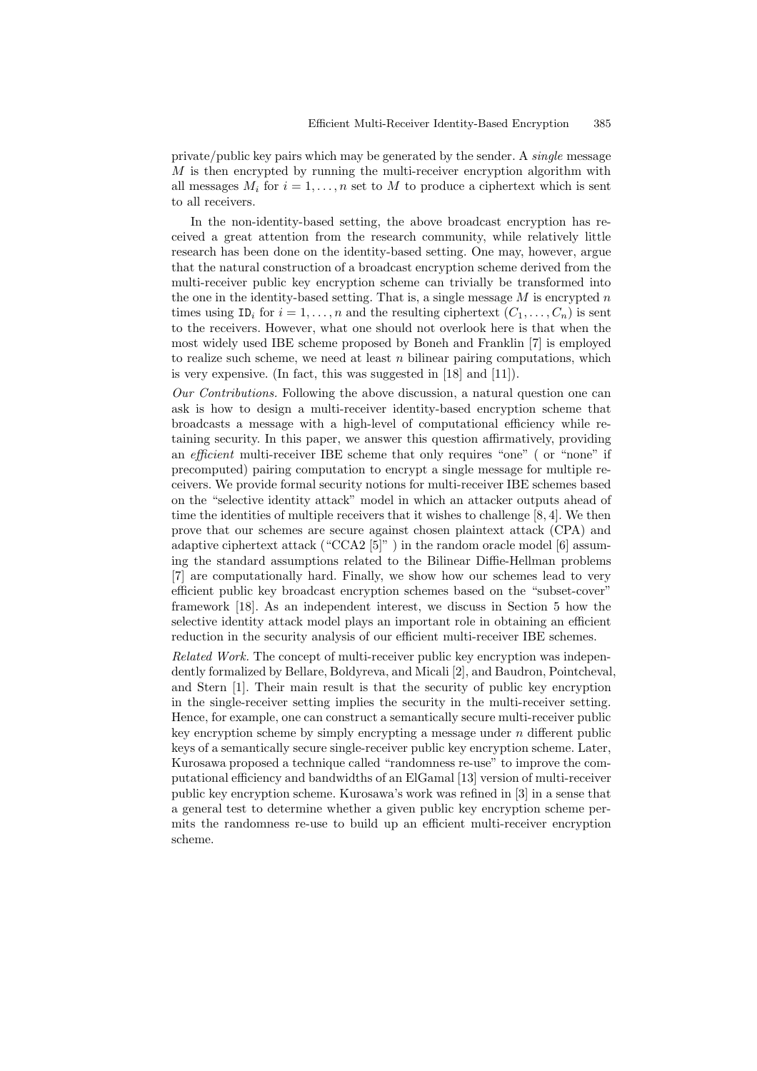private/public key pairs which may be generated by the sender. A single message  $M$  is then encrypted by running the multi-receiver encryption algorithm with all messages  $M_i$  for  $i = 1, \ldots, n$  set to M to produce a ciphertext which is sent to all receivers.

In the non-identity-based setting, the above broadcast encryption has received a great attention from the research community, while relatively little research has been done on the identity-based setting. One may, however, argue that the natural construction of a broadcast encryption scheme derived from the multi-receiver public key encryption scheme can trivially be transformed into the one in the identity-based setting. That is, a single message  $M$  is encrypted  $n$ times using  $ID_i$  for  $i = 1, ..., n$  and the resulting ciphertext  $(C_1, ..., C_n)$  is sent to the receivers. However, what one should not overlook here is that when the most widely used IBE scheme proposed by Boneh and Franklin [7] is employed to realize such scheme, we need at least n bilinear pairing computations, which is very expensive. (In fact, this was suggested in [18] and [11]).

Our Contributions. Following the above discussion, a natural question one can ask is how to design a multi-receiver identity-based encryption scheme that broadcasts a message with a high-level of computational efficiency while retaining security. In this paper, we answer this question affirmatively, providing an efficient multi-receiver IBE scheme that only requires "one" ( or "none" if precomputed) pairing computation to encrypt a single message for multiple receivers. We provide formal security notions for multi-receiver IBE schemes based on the "selective identity attack" model in which an attacker outputs ahead of time the identities of multiple receivers that it wishes to challenge [8, 4]. We then prove that our schemes are secure against chosen plaintext attack (CPA) and adaptive ciphertext attack ("CCA2  $[5]$ ") in the random oracle model  $[6]$  assuming the standard assumptions related to the Bilinear Diffie-Hellman problems [7] are computationally hard. Finally, we show how our schemes lead to very efficient public key broadcast encryption schemes based on the "subset-cover" framework [18]. As an independent interest, we discuss in Section 5 how the selective identity attack model plays an important role in obtaining an efficient reduction in the security analysis of our efficient multi-receiver IBE schemes.

Related Work. The concept of multi-receiver public key encryption was independently formalized by Bellare, Boldyreva, and Micali [2], and Baudron, Pointcheval, and Stern [1]. Their main result is that the security of public key encryption in the single-receiver setting implies the security in the multi-receiver setting. Hence, for example, one can construct a semantically secure multi-receiver public key encryption scheme by simply encrypting a message under  $n$  different public keys of a semantically secure single-receiver public key encryption scheme. Later, Kurosawa proposed a technique called "randomness re-use" to improve the computational efficiency and bandwidths of an ElGamal [13] version of multi-receiver public key encryption scheme. Kurosawa's work was refined in [3] in a sense that a general test to determine whether a given public key encryption scheme permits the randomness re-use to build up an efficient multi-receiver encryption scheme.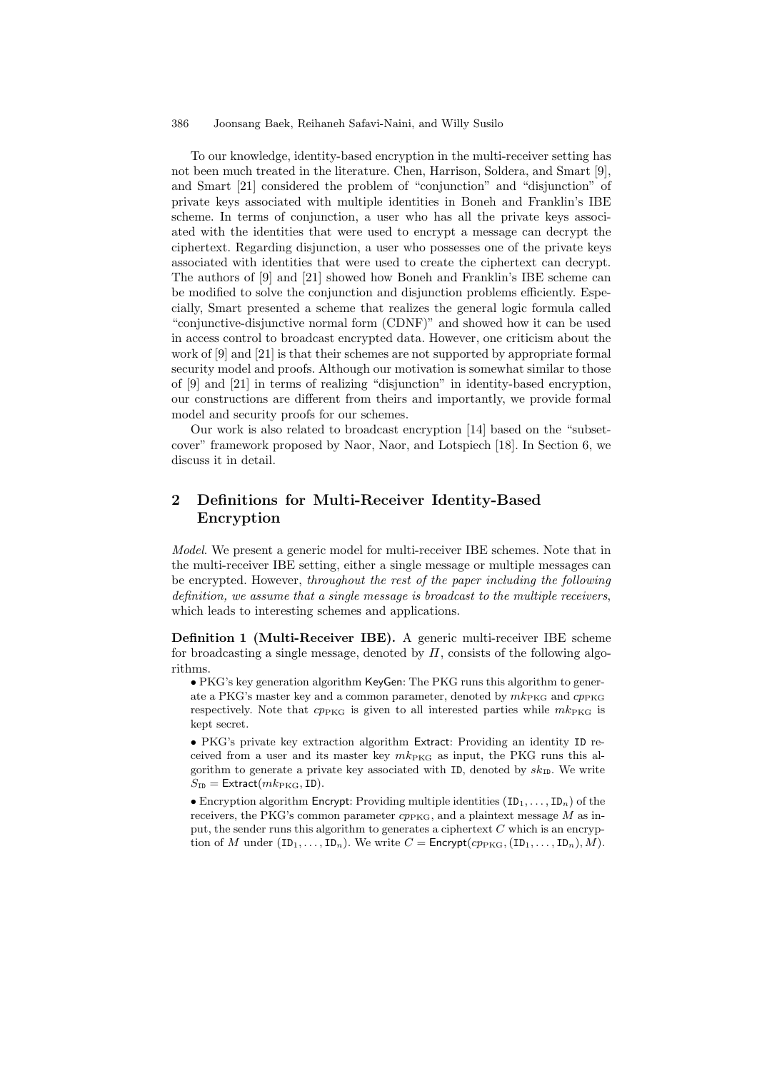To our knowledge, identity-based encryption in the multi-receiver setting has not been much treated in the literature. Chen, Harrison, Soldera, and Smart [9], and Smart [21] considered the problem of "conjunction" and "disjunction" of private keys associated with multiple identities in Boneh and Franklin's IBE scheme. In terms of conjunction, a user who has all the private keys associated with the identities that were used to encrypt a message can decrypt the ciphertext. Regarding disjunction, a user who possesses one of the private keys associated with identities that were used to create the ciphertext can decrypt. The authors of [9] and [21] showed how Boneh and Franklin's IBE scheme can be modified to solve the conjunction and disjunction problems efficiently. Especially, Smart presented a scheme that realizes the general logic formula called "conjunctive-disjunctive normal form (CDNF)" and showed how it can be used in access control to broadcast encrypted data. However, one criticism about the work of [9] and [21] is that their schemes are not supported by appropriate formal security model and proofs. Although our motivation is somewhat similar to those of [9] and [21] in terms of realizing "disjunction" in identity-based encryption, our constructions are different from theirs and importantly, we provide formal model and security proofs for our schemes.

Our work is also related to broadcast encryption [14] based on the "subsetcover" framework proposed by Naor, Naor, and Lotspiech [18]. In Section 6, we discuss it in detail.

# 2 Definitions for Multi-Receiver Identity-Based Encryption

Model. We present a generic model for multi-receiver IBE schemes. Note that in the multi-receiver IBE setting, either a single message or multiple messages can be encrypted. However, throughout the rest of the paper including the following definition, we assume that a single message is broadcast to the multiple receivers, which leads to interesting schemes and applications.

Definition 1 (Multi-Receiver IBE). A generic multi-receiver IBE scheme for broadcasting a single message, denoted by  $\Pi$ , consists of the following algorithms.

• PKG's key generation algorithm KeyGen: The PKG runs this algorithm to generate a PKG's master key and a common parameter, denoted by  $mk_{\text{PKG}}$  and  $cp_{\text{PKG}}$ respectively. Note that  $c_{PFKG}$  is given to all interested parties while  $mk_{PKG}$  is kept secret.

• PKG's private key extraction algorithm Extract: Providing an identity ID received from a user and its master key  $mk<sub>PKG</sub>$  as input, the PKG runs this algorithm to generate a private key associated with ID, denoted by  $sk_{\text{ID}}$ . We write  $S_{\text{ID}} =$  Extract $(mk_{\text{PKG}}, \text{ID}).$ 

• Encryption algorithm Encrypt: Providing multiple identities  $(\text{ID}_1, \ldots, \text{ID}_n)$  of the receivers, the PKG's common parameter  $cp_{\text{FKG}}$ , and a plaintext message M as input, the sender runs this algorithm to generates a ciphertext  $C$  which is an encryption of M under  $(ID_1, \ldots, ID_n)$ . We write  $C =$  Encrypt $(c_{PPKG}, (ID_1, \ldots, ID_n), M)$ .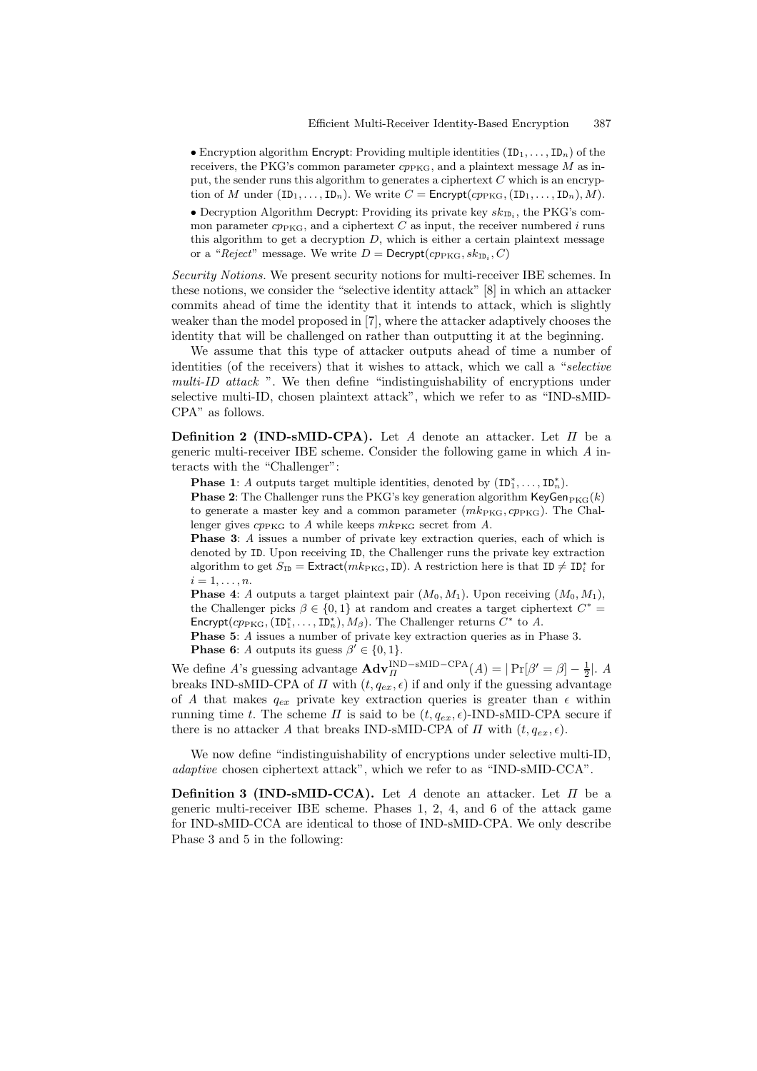• Encryption algorithm Encrypt: Providing multiple identities  $(ID_1, \ldots, ID_n)$  of the receivers, the PKG's common parameter  $cp_{\text{PKG}}$ , and a plaintext message M as input, the sender runs this algorithm to generates a ciphertext  $C$  which is an encryption of M under  $(ID_1, \ldots, ID_n)$ . We write  $C =$  Encrypt $(c_{PPKG}, (ID_1, \ldots, ID_n), M)$ .

• Decryption Algorithm Decrypt: Providing its private key  $sk_{\text{ID}_i}$ , the PKG's common parameter  $cp_{PKG}$ , and a ciphertext C as input, the receiver numbered i runs this algorithm to get a decryption  $D$ , which is either a certain plaintext message or a " $Reject$ " message. We write  $D = \mathsf{Decrypt}(cp_{\text{PKG}}, sk_{\text{ID}_i}, C)$ 

Security Notions. We present security notions for multi-receiver IBE schemes. In these notions, we consider the "selective identity attack" [8] in which an attacker commits ahead of time the identity that it intends to attack, which is slightly weaker than the model proposed in [7], where the attacker adaptively chooses the identity that will be challenged on rather than outputting it at the beginning.

We assume that this type of attacker outputs ahead of time a number of identities (of the receivers) that it wishes to attack, which we call a "selective multi-ID attack ". We then define "indistinguishability of encryptions under selective multi-ID, chosen plaintext attack", which we refer to as "IND-sMID-CPA" as follows.

Definition 2 (IND-sMID-CPA). Let  $A$  denote an attacker. Let  $\Pi$  be a generic multi-receiver IBE scheme. Consider the following game in which A interacts with the "Challenger":

**Phase 1**: A outputs target multiple identities, denoted by  $(\text{ID}_1^*, \ldots, \text{ID}_n^*)$ .

**Phase 2:** The Challenger runs the PKG's key generation algorithm  $\mathsf{KeyGen}_{\mathsf{PKG}}(k)$ to generate a master key and a common parameter  $(mk_{PKG}, cp_{PKG})$ . The Challenger gives  $cp_{\text{PKG}}$  to A while keeps  $mk_{\text{PKG}}$  secret from A.

Phase 3: A issues a number of private key extraction queries, each of which is denoted by ID. Upon receiving ID, the Challenger runs the private key extraction algorithm to get  $S_{\text{ID}} = \text{Extract}(mk_{\text{PKG}}, \text{ID})$ . A restriction here is that  $\text{ID} \neq \text{ID}_i^*$  for  $i=1,\ldots,n$ .

**Phase 4:** A outputs a target plaintext pair  $(M_0, M_1)$ . Upon receiving  $(M_0, M_1)$ , the Challenger picks  $\beta \in \{0,1\}$  at random and creates a target ciphertext  $C^*$ Encrypt $(c_{P{\rm PKG}}, (ID_1^*, \ldots, ID_n^*), M_\beta)$ . The Challenger returns  $C^*$  to A.

Phase 5: A issues a number of private key extraction queries as in Phase 3. **Phase 6:** A outputs its guess  $\beta' \in \{0, 1\}.$ 

We define A's guessing advantage  $\mathbf{Adv}_{\Pi}^{\text{IND}-\text{SMD--CPA}}(A) = |\Pr[\beta' = \beta] - \frac{1}{2}|\. A$ breaks IND-sMID-CPA of  $\Pi$  with  $(t, q_{ex}, \epsilon)$  if and only if the guessing advantage of A that makes  $q_{ex}$  private key extraction queries is greater than  $\epsilon$  within running time t. The scheme  $\Pi$  is said to be  $(t, q_{ex}, \epsilon)$ -IND-sMID-CPA secure if there is no attacker A that breaks IND-sMID-CPA of  $\Pi$  with  $(t, q_{ex}, \epsilon)$ .

We now define "indistinguishability of encryptions under selective multi-ID, adaptive chosen ciphertext attack", which we refer to as "IND-sMID-CCA".

Definition 3 (IND-sMID-CCA). Let A denote an attacker. Let  $\Pi$  be a generic multi-receiver IBE scheme. Phases 1, 2, 4, and 6 of the attack game for IND-sMID-CCA are identical to those of IND-sMID-CPA. We only describe Phase 3 and 5 in the following: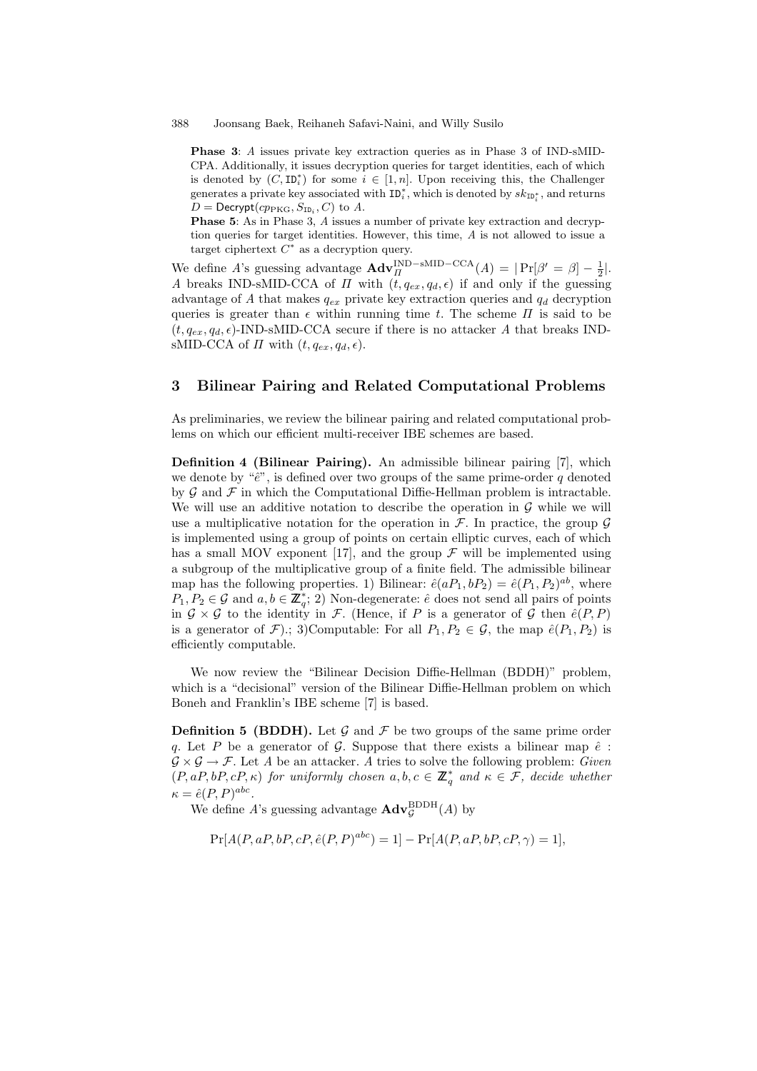Phase 3: A issues private key extraction queries as in Phase 3 of IND-sMID-CPA. Additionally, it issues decryption queries for target identities, each of which is denoted by  $(C, \texttt{ID}_i^*)$  for some  $i \in [1, n]$ . Upon receiving this, the Challenger generates a private key associated with  $ID_i^*$ , which is denoted by  $sk_{ID_i^*}$ , and returns  $D = \mathsf{Decrypt}(cp_{\textnormal{PKG}}, S_{\textnormal{ID}_i}, C)$  to  $A.$ 

Phase 5: As in Phase 3, A issues a number of private key extraction and decryption queries for target identities. However, this time, A is not allowed to issue a target ciphertext  $C^*$  as a decryption query.

We define A's guessing advantage  $\mathbf{Adv}_{\Pi}^{\text{IND}-\text{SMD--CCA}}(A) = |\Pr[\beta' = \beta] - \frac{1}{2}|.$ A breaks IND-sMID-CCA of  $\Pi$  with  $(t, q_{ex}, q_d, \epsilon)$  if and only if the guessing advantage of A that makes  $q_{ex}$  private key extraction queries and  $q_d$  decryption queries is greater than  $\epsilon$  within running time t. The scheme  $\Pi$  is said to be  $(t, q_{ex}, q_d, \epsilon)$ -IND-sMID-CCA secure if there is no attacker A that breaks INDsMID-CCA of  $\Pi$  with  $(t, q_{ex}, q_d, \epsilon)$ .

### 3 Bilinear Pairing and Related Computational Problems

As preliminaries, we review the bilinear pairing and related computational problems on which our efficient multi-receiver IBE schemes are based.

Definition 4 (Bilinear Pairing). An admissible bilinear pairing [7], which we denote by " $\hat{e}$ ", is defined over two groups of the same prime-order q denoted by  $G$  and  $F$  in which the Computational Diffie-Hellman problem is intractable. We will use an additive notation to describe the operation in  $\mathcal G$  while we will use a multiplicative notation for the operation in  $\mathcal F$ . In practice, the group  $\mathcal G$ is implemented using a group of points on certain elliptic curves, each of which has a small MOV exponent [17], and the group  $\mathcal F$  will be implemented using a subgroup of the multiplicative group of a finite field. The admissible bilinear map has the following properties. 1) Bilinear:  $\hat{e}(aP_1, bP_2) = \hat{e}(P_1, P_2)^{ab}$ , where  $P_1, P_2 \in \mathcal{G}$  and  $a, b \in \mathbb{Z}_q^*$ ; 2) Non-degenerate:  $\hat{e}$  does not send all pairs of points in  $\mathcal{G} \times \mathcal{G}$  to the identity in F. (Hence, if P is a generator of  $\mathcal{G}$  then  $\hat{e}(P, P)$ is a generator of  $\mathcal{F}$ ).; 3)Computable: For all  $P_1, P_2 \in \mathcal{G}$ , the map  $\hat{e}(P_1, P_2)$  is efficiently computable.

We now review the "Bilinear Decision Diffie-Hellman (BDDH)" problem, which is a "decisional" version of the Bilinear Diffie-Hellman problem on which Boneh and Franklin's IBE scheme [7] is based.

**Definition 5 (BDDH).** Let  $\mathcal{G}$  and  $\mathcal{F}$  be two groups of the same prime order q. Let P be a generator of G. Suppose that there exists a bilinear map  $\hat{e}$ :  $\mathcal{G} \times \mathcal{G} \to \mathcal{F}$ . Let A be an attacker. A tries to solve the following problem: Given  $(P, aP, bP, cP, \kappa)$  for uniformly chosen  $a, b, c \in \mathbb{Z}_q^*$  and  $\kappa \in \mathcal{F}$ , decide whether  $\kappa = \hat{e}(P, P)^{abc}.$ 

We define A's guessing advantage  $\mathbf{Adv}_{\mathcal{G}}^{\mathrm{BDDH}}(A)$  by

$$
Pr[A(P, aP, bP, cP, \hat{e}(P, P)^{abc}) = 1] - Pr[A(P, aP, bP, cP, \gamma) = 1],
$$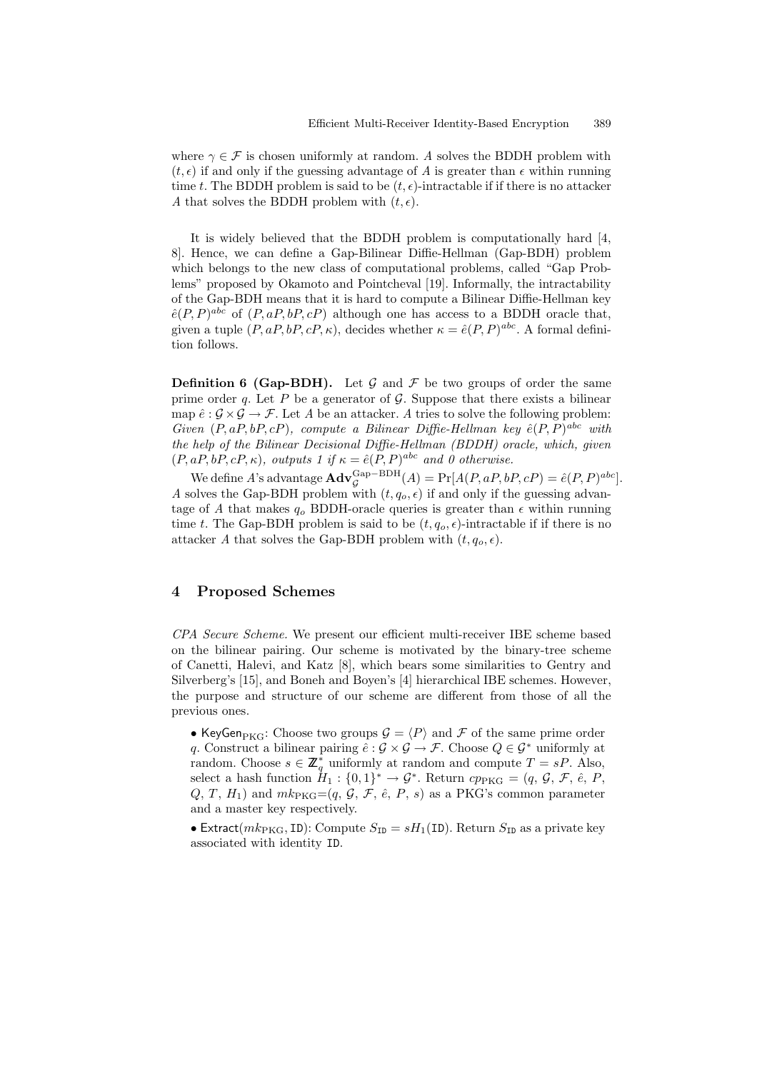where  $\gamma \in \mathcal{F}$  is chosen uniformly at random. A solves the BDDH problem with  $(t, \epsilon)$  if and only if the guessing advantage of A is greater than  $\epsilon$  within running time t. The BDDH problem is said to be  $(t, \epsilon)$ -intractable if if there is no attacker A that solves the BDDH problem with  $(t, \epsilon)$ .

It is widely believed that the BDDH problem is computationally hard [4, 8]. Hence, we can define a Gap-Bilinear Diffie-Hellman (Gap-BDH) problem which belongs to the new class of computational problems, called "Gap Problems" proposed by Okamoto and Pointcheval [19]. Informally, the intractability of the Gap-BDH means that it is hard to compute a Bilinear Diffie-Hellman key  $\hat{e}(P, P)^{abc}$  of  $(P, aP, bP, cP)$  although one has access to a BDDH oracle that, given a tuple  $(P, aP, bP, cP, \kappa)$ , decides whether  $\kappa = \hat{e}(P, P)^{abc}$ . A formal definition follows.

**Definition 6 (Gap-BDH).** Let  $\mathcal G$  and  $\mathcal F$  be two groups of order the same prime order q. Let P be a generator of G. Suppose that there exists a bilinear map  $\hat{e}: \mathcal{G} \times \mathcal{G} \to \mathcal{F}$ . Let A be an attacker. A tries to solve the following problem: Given  $(P, aP, bP, cP)$ , compute a Bilinear Diffie-Hellman key  $\hat{e}(P, P)^{abc}$  with the help of the Bilinear Decisional Diffie-Hellman (BDDH) oracle, which, given  $(P, aP, bP, cP, \kappa)$ , outputs 1 if  $\kappa = \hat{e}(P, P)^{abc}$  and 0 otherwise.

We define A's advantage  $\mathbf{Adv}_{\mathcal{G}}^{\text{Gap-BDH}}(A) = \Pr[A(P, aP, bP, cP) = \hat{e}(P, P)^{abc}].$ A solves the Gap-BDH problem with  $(t, q_o, \epsilon)$  if and only if the guessing advantage of A that makes  $q_0$  BDDH-oracle queries is greater than  $\epsilon$  within running time t. The Gap-BDH problem is said to be  $(t, q_o, \epsilon)$ -intractable if if there is no attacker A that solves the Gap-BDH problem with  $(t, q_o, \epsilon)$ .

### 4 Proposed Schemes

CPA Secure Scheme. We present our efficient multi-receiver IBE scheme based on the bilinear pairing. Our scheme is motivated by the binary-tree scheme of Canetti, Halevi, and Katz [8], which bears some similarities to Gentry and Silverberg's [15], and Boneh and Boyen's [4] hierarchical IBE schemes. However, the purpose and structure of our scheme are different from those of all the previous ones.

• KeyGen<sub>PKG</sub>: Choose two groups  $\mathcal{G} = \langle P \rangle$  and F of the same prime order q. Construct a bilinear pairing  $\hat{e}: \mathcal{G} \times \mathcal{G} \to \mathcal{F}$ . Choose  $Q \in \mathcal{G}^*$  uniformly at random. Choose  $s \in \mathbb{Z}_q^*$  uniformly at random and compute  $T = sP$ . Also, select a hash function  $H_1: \{0,1\}^* \to \mathcal{G}^*$ . Return  $cp_{PKG} = (q, \mathcal{G}, \mathcal{F}, \hat{e}, P, \hat{e})$  $Q, T, H_1$ ) and  $mk_{PKG} = (q, \mathcal{G}, \mathcal{F}, \hat{e}, P, s)$  as a PKG's common parameter and a master key respectively.

• Extract( $mk_{\text{PKG}}$ , ID): Compute  $S_{\text{ID}} = sH_1(\text{ID})$ . Return  $S_{\text{ID}}$  as a private key associated with identity ID.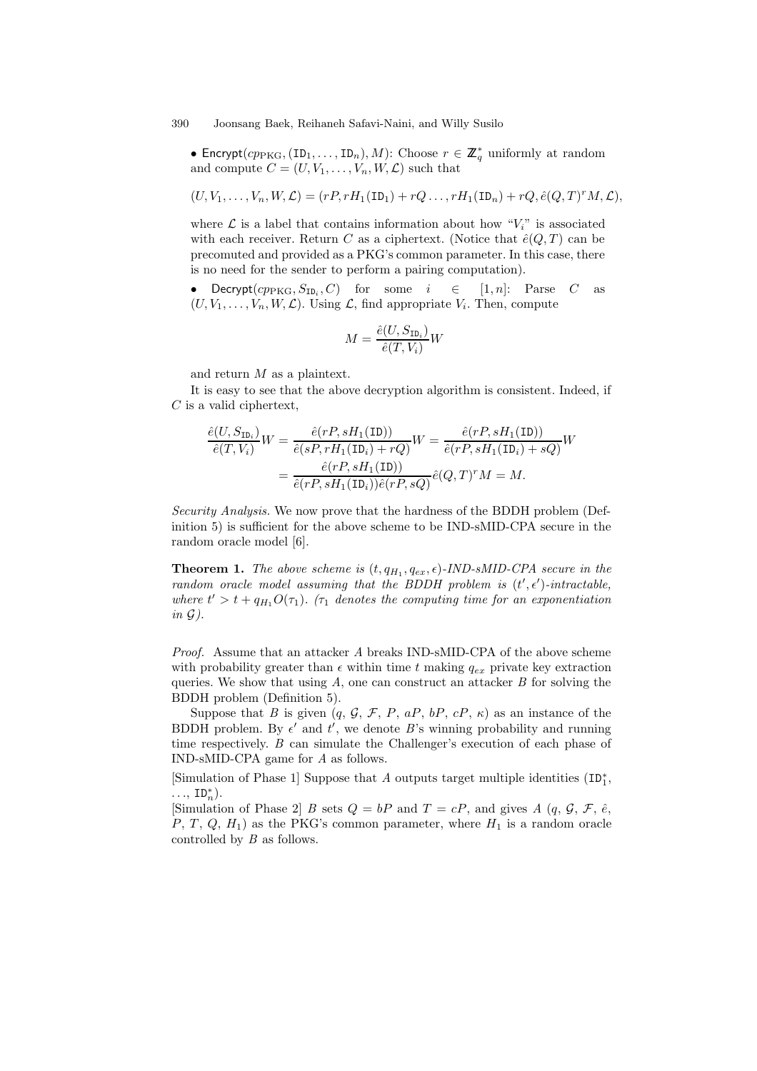• Encrypt( $cp<sub>PKG</sub>, (ID<sub>1</sub>, ..., ID<sub>n</sub>), M$ ): Choose  $r \in \mathbb{Z}_q^*$  uniformly at random and compute  $C = (U, V_1, \ldots, V_n, W, \mathcal{L})$  such that

$$
(U, V_1, \ldots, V_n, W, \mathcal{L}) = (rP, rH_1(ID_1) + rQ \ldots, rH_1(ID_n) + rQ, \hat{e}(Q, T)^r M, \mathcal{L}),
$$

where  $\mathcal L$  is a label that contains information about how " $V_i$ " is associated with each receiver. Return C as a ciphertext. (Notice that  $\hat{e}(Q,T)$  can be precomuted and provided as a PKG's common parameter. In this case, there is no need for the sender to perform a pairing computation).

• Decrypt $(c_{\text{PPKG}}, S_{\text{ID}_i}, C)$  for some  $i \in [1, n]$ : Parse  $C$  as  $(U, V_1, \ldots, V_n, W, \mathcal{L})$ . Using  $\mathcal{L}$ , find appropriate  $V_i$ . Then, compute

$$
M = \frac{\hat{e}(U, S_{\text{ID}_i})}{\hat{e}(T, V_i)} W
$$

and return M as a plaintext.

It is easy to see that the above decryption algorithm is consistent. Indeed, if  $C$  is a valid ciphertext,

$$
\frac{\hat{e}(U, S_{\text{ID}_i})}{\hat{e}(T, V_i)} W = \frac{\hat{e}(rP, sH_1(\text{ID}))}{\hat{e}(sP, rH_1(\text{ID}_i) + rQ)} W = \frac{\hat{e}(rP, sH_1(\text{ID}))}{\hat{e}(rP, sH_1(\text{ID}_i) + sQ)} W \n= \frac{\hat{e}(rP, sH_1(\text{ID}))}{\hat{e}(rP, sH_1(\text{ID}_i))\hat{e}(rP, sQ)} \hat{e}(Q, T)^r M = M.
$$

Security Analysis. We now prove that the hardness of the BDDH problem (Definition 5) is sufficient for the above scheme to be IND-sMID-CPA secure in the random oracle model [6].

**Theorem 1.** The above scheme is  $(t, q_{H_1}, q_{ex}, \epsilon)$ -IND-sMID-CPA secure in the random oracle model assuming that the BDDH problem is  $(t', \epsilon')$ -intractable, where  $t' > t + q_{H_1}O(\tau_1)$ . ( $\tau_1$  denotes the computing time for an exponentiation in  $\mathcal G$ ).

Proof. Assume that an attacker A breaks IND-sMID-CPA of the above scheme with probability greater than  $\epsilon$  within time t making  $q_{ex}$  private key extraction queries. We show that using  $A$ , one can construct an attacker  $B$  for solving the BDDH problem (Definition 5).

Suppose that B is given  $(q, \mathcal{G}, \mathcal{F}, P, aP, bP, cP, \kappa)$  as an instance of the BDDH problem. By  $\epsilon'$  and  $t'$ , we denote B's winning probability and running time respectively. B can simulate the Challenger's execution of each phase of IND-sMID-CPA game for A as follows.

[Simulation of Phase 1] Suppose that  $A$  outputs target multiple identities  $(ID_1^*$ ,  $\ldots, \text{ID}_n^*$ ).

[Simulation of Phase 2] B sets  $Q = bP$  and  $T = cP$ , and gives A  $(q, \mathcal{G}, \mathcal{F}, \hat{e}, \hat{e})$ P, T, Q,  $H_1$ ) as the PKG's common parameter, where  $H_1$  is a random oracle controlled by B as follows.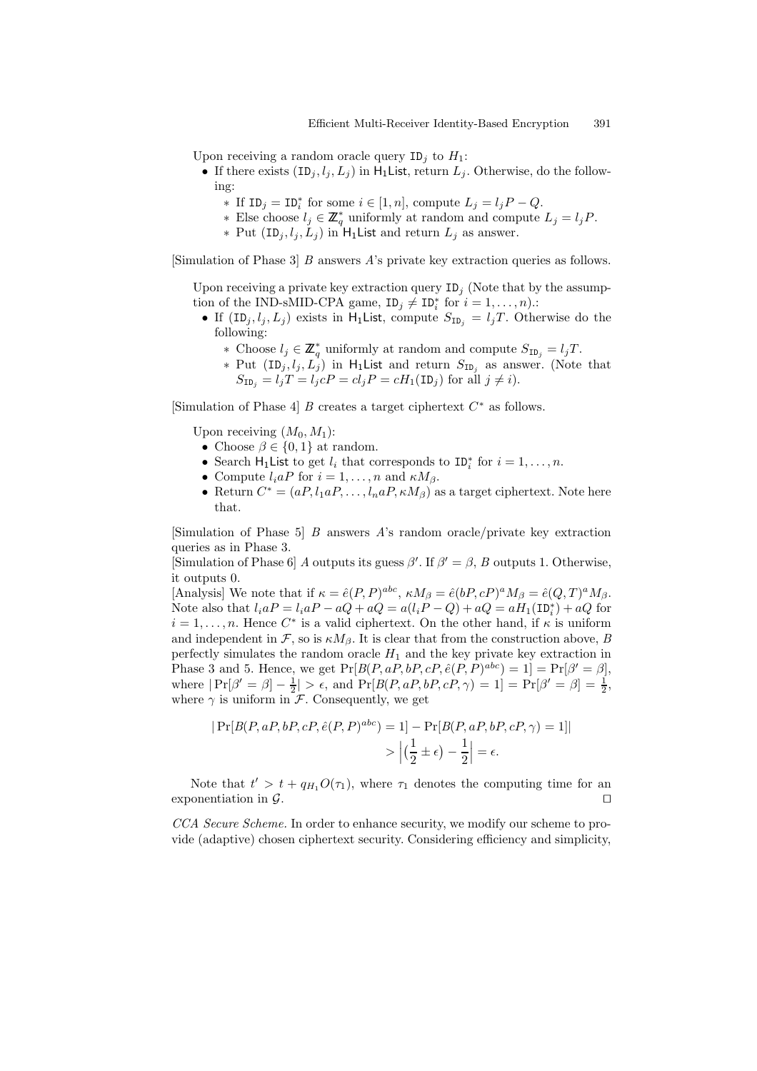Upon receiving a random oracle query  $ID_i$  to  $H_1$ :

- If there exists  $(ID_j, l_j, L_j)$  in H<sub>1</sub>List, return  $L_j$ . Otherwise, do the following:
	- ∗ If  $ID_j = ID_i^*$  for some  $i \in [1, n]$ , compute  $L_j = l_j P Q$ .
	- ∗ Else choose  $l_j \in \mathbb{Z}_q^*$  uniformly at random and compute  $L_j = l_j P$ .
	- ∗ Put  $(ID_j, l_j, L_j)$  in H<sub>1</sub>List and return  $L_j$  as answer.

[Simulation of Phase 3] B answers A's private key extraction queries as follows.

Upon receiving a private key extraction query  $ID_i$  (Note that by the assumption of the IND-sMID-CPA game,  $ID_j \neq ID_i^*$  for  $i = 1, ..., n$ ).

- If  $(ID_j, l_j, L_j)$  exists in H<sub>1</sub>List, compute  $S_{ID_j} = l_jT$ . Otherwise do the following:
	- ∗ Choose  $l_j \in \mathbb{Z}_q^*$  uniformly at random and compute  $S_{\text{ID}_j} = l_jT$ .
	- \* Put  $(ID_j, l_j, L_j)$  in H<sub>1</sub>List and return  $S_{ID_j}$  as answer. (Note that  $S_{\text{ID}_i} = l_j T = l_j cP = cl_j P = cH_1(\text{ID}_j)$  for all  $j \neq i$ .

[Simulation of Phase 4]  $B$  creates a target ciphertext  $C^*$  as follows.

Upon receiving  $(M_0, M_1)$ :

- Choose  $\beta \in \{0,1\}$  at random.
- Search H<sub>1</sub>List to get  $l_i$  that corresponds to  $ID_i^*$  for  $i = 1, ..., n$ .
- Compute  $l_i a P$  for  $i = 1, ..., n$  and  $\kappa M_\beta$ .
- Return  $C^* = (aP, l_1aP, \ldots, l_naP, \kappa M_\beta)$  as a target ciphertext. Note here that.

[Simulation of Phase 5] B answers A's random oracle/private key extraction queries as in Phase 3.

[Simulation of Phase 6] A outputs its guess  $\beta'$ . If  $\beta' = \beta$ , B outputs 1. Otherwise, it outputs 0.

[Analysis] We note that if  $\kappa = \hat{e}(P, P)^{abc}$ ,  $\kappa M_{\beta} = \hat{e}(bP, cP)^{a}M_{\beta} = \hat{e}(Q, T)^{a}M_{\beta}$ . Note also that  $l_i aP = l_i aP - aQ + aQ = a(l_i P - Q) + aQ = aH_1(\mathbb{ID}_i^*) + aQ$  for  $i = 1, \ldots, n$ . Hence  $C^*$  is a valid ciphertext. On the other hand, if  $\kappa$  is uniform and independent in  $\mathcal F$ , so is  $\kappa M_\beta$ . It is clear that from the construction above, B perfectly simulates the random oracle  $H_1$  and the key private key extraction in Phase 3 and 5. Hence, we get  $Pr[B(P, aP, bP, cP, \hat{e}(P, P)^{abc}) = 1] = Pr[\beta' = \beta],$ where  $|\Pr[\beta' = \beta] - \frac{1}{2}| > \epsilon$ , and  $\Pr[B(P, aP, bP, cP, \gamma) = 1] = \Pr[\beta' = \beta] = \frac{1}{2}$ , where  $\gamma$  is uniform in  $\mathcal F$ . Consequently, we get

$$
|\Pr[B(P, aP, bP, cP, \hat{e}(P, P)^{abc}) = 1] - \Pr[B(P, aP, bP, cP, \gamma) = 1]|
$$
  
> 
$$
\left| \left( \frac{1}{2} \pm \epsilon \right) - \frac{1}{2} \right| = \epsilon.
$$

Note that  $t' > t + q_{H_1}O(\tau_1)$ , where  $\tau_1$  denotes the computing time for an exponentiation in  $\mathcal{G}$ .

CCA Secure Scheme. In order to enhance security, we modify our scheme to provide (adaptive) chosen ciphertext security. Considering efficiency and simplicity,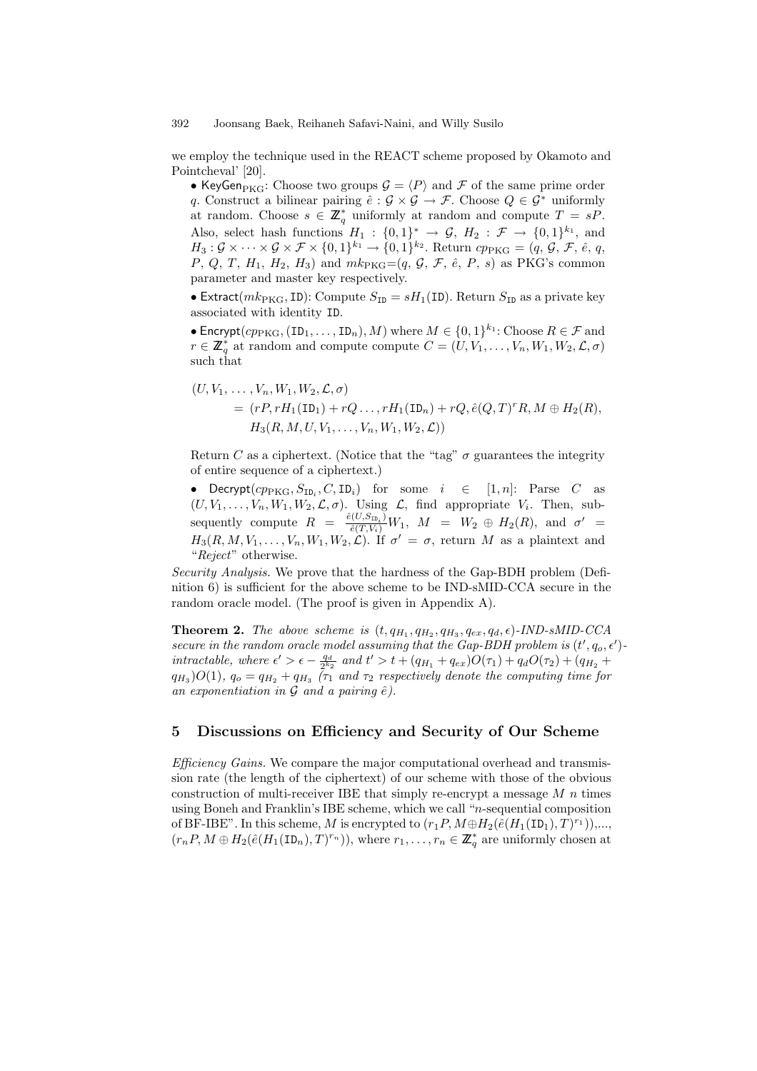we employ the technique used in the REACT scheme proposed by Okamoto and Pointcheval' [20].

• KeyGen<sub>PKG</sub>: Choose two groups  $\mathcal{G} = \langle P \rangle$  and F of the same prime order q. Construct a bilinear pairing  $\hat{e}: \mathcal{G} \times \mathcal{G} \to \mathcal{F}$ . Choose  $Q \in \mathcal{G}^*$  uniformly at random. Choose  $s \in \mathbb{Z}_q^*$  uniformly at random and compute  $T = sP$ . Also, select hash functions  $H_1: \{0,1\}^* \to \mathcal{G}, H_2: \mathcal{F} \to \{0,1\}^{k_1}$ , and  $H_3: \mathcal{G} \times \cdots \times \mathcal{G} \times \mathcal{F} \times \{0,1\}^{k_1} \rightarrow \{0,1\}^{k_2}$ . Return  $cp_{\text{PKG}} = (q, \mathcal{G}, \mathcal{F}, \hat{e}, q, \hat{e})$  $P, Q, T, H_1, H_2, H_3$ ) and  $mk_{\rm PKG} = (q, \mathcal{G}, \mathcal{F}, \hat{e}, P, s)$  as PKG's common parameter and master key respectively.

• Extract( $mk_{\text{PKG}}$ , ID): Compute  $S_{\text{ID}} = sH_1(\text{ID})$ . Return  $S_{\text{ID}}$  as a private key associated with identity ID.

• Encrypt $(c_{\text{PPKG}}, (\text{ID}_1, \ldots, \text{ID}_n), M)$  where  $M \in \{0, 1\}^{k_1}$ : Choose  $R \in \mathcal{F}$  and  $r \in \mathbb{Z}_q^*$  at random and compute compute  $C = (U, V_1, \ldots, V_n, W_1, W_2, \mathcal{L}, \sigma)$ such that

$$
(U, V_1, \ldots, V_n, W_1, W_2, \mathcal{L}, \sigma)
$$
  
=  $(rP, rH_1(ID_1) + rQ \ldots, rH_1(ID_n) + rQ, \hat{e}(Q, T)^r R, M \oplus H_2(R),$   
 $H_3(R, M, U, V_1, \ldots, V_n, W_1, W_2, \mathcal{L}))$ 

Return C as a ciphertext. (Notice that the "tag"  $\sigma$  guarantees the integrity of entire sequence of a ciphertext.)

• Decrypt $(c_{\text{PPKG}}, S_{\text{ID}_i}, C, \text{ID}_i)$  for some  $i \in [1, n]$ : Parse C as  $(U, V_1, \ldots, V_n, W_1, W_2, \mathcal{L}, \sigma)$ . Using  $\mathcal{L}$ , find appropriate  $V_i$ . Then, subsequently compute  $R = \frac{\hat{e}(U, S_{\text{ID}_i})}{\hat{e}(T, V_i)} W_1$ ,  $M = W_2 \oplus H_2(R)$ , and  $\sigma' =$  $H_3(R, M, V_1, \ldots, V_n, W_1, W_2, \mathcal{L})$ . If  $\sigma' = \sigma$ , return M as a plaintext and "Reject" otherwise.

Security Analysis. We prove that the hardness of the Gap-BDH problem (Definition 6) is sufficient for the above scheme to be IND-sMID-CCA secure in the random oracle model. (The proof is given in Appendix A).

**Theorem 2.** The above scheme is  $(t, q_{H_1}, q_{H_2}, q_{H_3}, q_{ex}, q_d, \epsilon)$ -IND-sMID-CCA secure in the random oracle model assuming that the Gap-BDH problem is  $(t', q_o, \epsilon')$ intractable, where  $\epsilon' > \epsilon - \frac{q_d}{2^{k_2}}$  and  $t' > t + (q_{H_1} + q_{ex})O(\tau_1) + q_d O(\tau_2) + (q_{H_2} + q_{ex})$  $(q_{H_3})O(1)$ ,  $q_o = q_{H_2} + q_{H_3}$  ( $\tau_1$  and  $\tau_2$  respectively denote the computing time for an exponentiation in  $\mathcal G$  and a pairing  $\hat e$ ).

### 5 Discussions on Efficiency and Security of Our Scheme

 $Efficiency \; Gains.$  We compare the major computational overhead and transmission rate (the length of the ciphertext) of our scheme with those of the obvious construction of multi-receiver IBE that simply re-encrypt a message  $M$  n times using Boneh and Franklin's IBE scheme, which we call "n-sequential composition of BF-IBE". In this scheme, M is encrypted to  $(r_1 P, M \oplus H_2(\hat{e}(H_1(\text{ID}_1), T)^{r_1})),...,$  $(r_n P, M \oplus H_2(\hat{e}(H_1(\text{ID}_n), T)^{r_n}))$ , where  $r_1, \ldots, r_n \in \mathbb{Z}_q^*$  are uniformly chosen at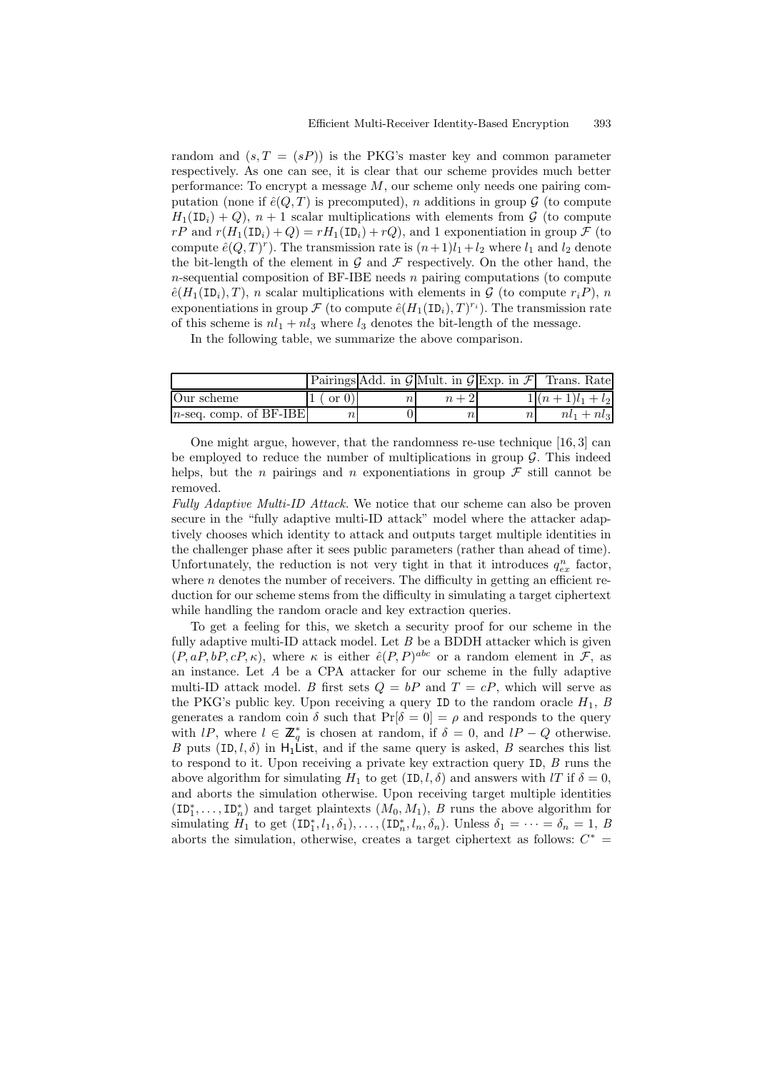random and  $(s, T = (sP))$  is the PKG's master key and common parameter respectively. As one can see, it is clear that our scheme provides much better performance: To encrypt a message  $M$ , our scheme only needs one pairing computation (none if  $\hat{e}(Q,T)$  is precomputed), n additions in group  $\mathcal G$  (to compute  $H_1(\text{ID}_i) + Q$ ),  $n+1$  scalar multiplications with elements from  $\mathcal G$  (to compute  $rP$  and  $r(H_1(\text{ID}_i) + Q) = rH_1(\text{ID}_i) + rQ$ , and 1 exponentiation in group  $\mathcal F$  (to compute  $\hat{e}(Q,T)^r$ ). The transmission rate is  $(n+1)l_1+l_2$  where  $l_1$  and  $l_2$  denote the bit-length of the element in  $\mathcal G$  and  $\mathcal F$  respectively. On the other hand, the  $n$ -sequential composition of BF-IBE needs  $n$  pairing computations (to compute  $\hat{e}(H_1(\text{ID}_i), T)$ , n scalar multiplications with elements in  $\mathcal G$  (to compute  $r_i P$ ), n exponentiations in group  $\mathcal F$  (to compute  $\hat e(H_1(\texttt{ID}_i), T)^{r_i}$ ). The transmission rate of this scheme is  $nl_1 + nl_3$  where  $l_3$  denotes the bit-length of the message.

In the following table, we summarize the above comparison.

|                           |        |  | Pairings Add. in G Mult. in G Exp. in $\mathcal{F}$ Trans. Rate |
|---------------------------|--------|--|-----------------------------------------------------------------|
| Our scheme                | or $0$ |  | $1 (n+1)l_1 + l_2)$                                             |
| $n$ -seq. comp. of BF-IBE |        |  | $nl_1 + nl_3$                                                   |

One might argue, however, that the randomness re-use technique [16, 3] can be employed to reduce the number of multiplications in group  $\mathcal G$ . This indeed helps, but the *n* pairings and *n* exponentiations in group  $\mathcal F$  still cannot be removed.

Fully Adaptive Multi-ID Attack. We notice that our scheme can also be proven secure in the "fully adaptive multi-ID attack" model where the attacker adaptively chooses which identity to attack and outputs target multiple identities in the challenger phase after it sees public parameters (rather than ahead of time). Unfortunately, the reduction is not very tight in that it introduces  $q_{ex}^{n}$  factor, where  $n$  denotes the number of receivers. The difficulty in getting an efficient reduction for our scheme stems from the difficulty in simulating a target ciphertext while handling the random oracle and key extraction queries.

To get a feeling for this, we sketch a security proof for our scheme in the fully adaptive multi-ID attack model. Let  $B$  be a BDDH attacker which is given  $(P, aP, bP, cP, \kappa)$ , where  $\kappa$  is either  $\hat{e}(P, P)^{abc}$  or a random element in  $\mathcal{F}$ , as an instance. Let A be a CPA attacker for our scheme in the fully adaptive multi-ID attack model. B first sets  $Q = bP$  and  $T = cP$ , which will serve as the PKG's public key. Upon receiving a query ID to the random oracle  $H_1$ , B generates a random coin  $\delta$  such that  $Pr[\delta = 0] = \rho$  and responds to the query with lP, where  $l \in \mathbb{Z}_q^*$  is chosen at random, if  $\delta = 0$ , and  $lP - Q$  otherwise. B puts  $(\text{ID}, l, \delta)$  in H<sub>1</sub>List, and if the same query is asked, B searches this list to respond to it. Upon receiving a private key extraction query ID, B runs the above algorithm for simulating  $H_1$  to get  $(ID, l, \delta)$  and answers with lT if  $\delta = 0$ , and aborts the simulation otherwise. Upon receiving target multiple identities  $(ID_1^*, \ldots, ID_n^*)$  and target plaintexts  $(M_0, M_1)$ , B runs the above algorithm for simulating  $H_1$  to get  $(\text{ID}_1^*, l_1, \delta_1), \ldots, (\text{ID}_n^*, l_n, \delta_n)$ . Unless  $\delta_1 = \cdots = \delta_n = 1$ , B aborts the simulation, otherwise, creates a target ciphertext as follows:  $C^*$  =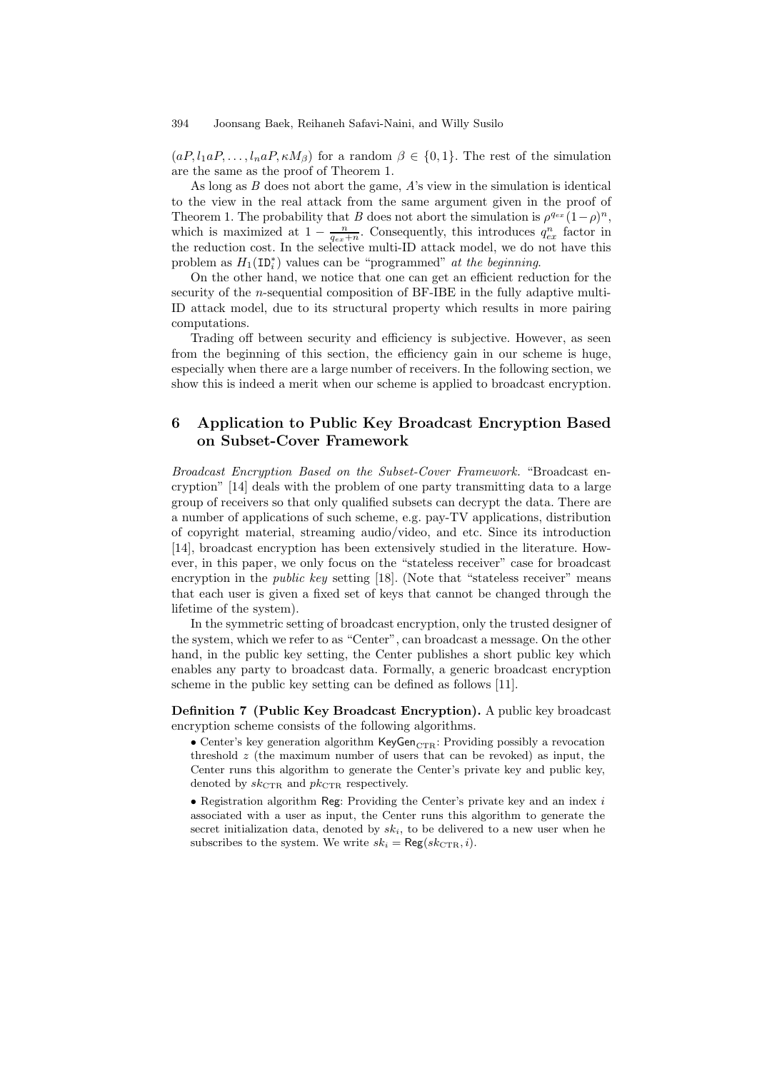$(aP, l_1aP, \ldots, l_naP, \kappa M_\beta)$  for a random  $\beta \in \{0, 1\}$ . The rest of the simulation are the same as the proof of Theorem 1.

As long as  $B$  does not abort the game,  $A$ 's view in the simulation is identical to the view in the real attack from the same argument given in the proof of Theorem 1. The probability that B does not abort the simulation is  $\rho^{q_{ex}}(1-\rho)^n$ , which is maximized at  $1 - \frac{n}{q_{ex}+n}$ . Consequently, this introduces  $q_{ex}^n$  factor in the reduction cost. In the selective multi-ID attack model, we do not have this problem as  $H_1(\mathbf{ID}_i^*)$  values can be "programmed" at the beginning.

On the other hand, we notice that one can get an efficient reduction for the security of the *n*-sequential composition of  $BF-IBE$  in the fully adaptive multi-ID attack model, due to its structural property which results in more pairing computations.

Trading off between security and efficiency is subjective. However, as seen from the beginning of this section, the efficiency gain in our scheme is huge, especially when there are a large number of receivers. In the following section, we show this is indeed a merit when our scheme is applied to broadcast encryption.

# 6 Application to Public Key Broadcast Encryption Based on Subset-Cover Framework

Broadcast Encryption Based on the Subset-Cover Framework. "Broadcast encryption" [14] deals with the problem of one party transmitting data to a large group of receivers so that only qualified subsets can decrypt the data. There are a number of applications of such scheme, e.g. pay-TV applications, distribution of copyright material, streaming audio/video, and etc. Since its introduction [14], broadcast encryption has been extensively studied in the literature. However, in this paper, we only focus on the "stateless receiver" case for broadcast encryption in the *public key* setting [18]. (Note that "stateless receiver" means that each user is given a fixed set of keys that cannot be changed through the lifetime of the system).

In the symmetric setting of broadcast encryption, only the trusted designer of the system, which we refer to as "Center", can broadcast a message. On the other hand, in the public key setting, the Center publishes a short public key which enables any party to broadcast data. Formally, a generic broadcast encryption scheme in the public key setting can be defined as follows [11].

Definition 7 (Public Key Broadcast Encryption). A public key broadcast encryption scheme consists of the following algorithms.

• Center's key generation algorithm  $KeyGen_{CTR}$ : Providing possibly a revocation threshold z (the maximum number of users that can be revoked) as input, the Center runs this algorithm to generate the Center's private key and public key, denoted by  $sk_{\text{CTR}}$  and  $pk_{\text{CTR}}$  respectively.

• Registration algorithm Reg: Providing the Center's private key and an index  $i$ associated with a user as input, the Center runs this algorithm to generate the secret initialization data, denoted by  $sk_i$ , to be delivered to a new user when he subscribes to the system. We write  $sk_i = \text{Reg}(sk_{\text{CTR}}, i)$ .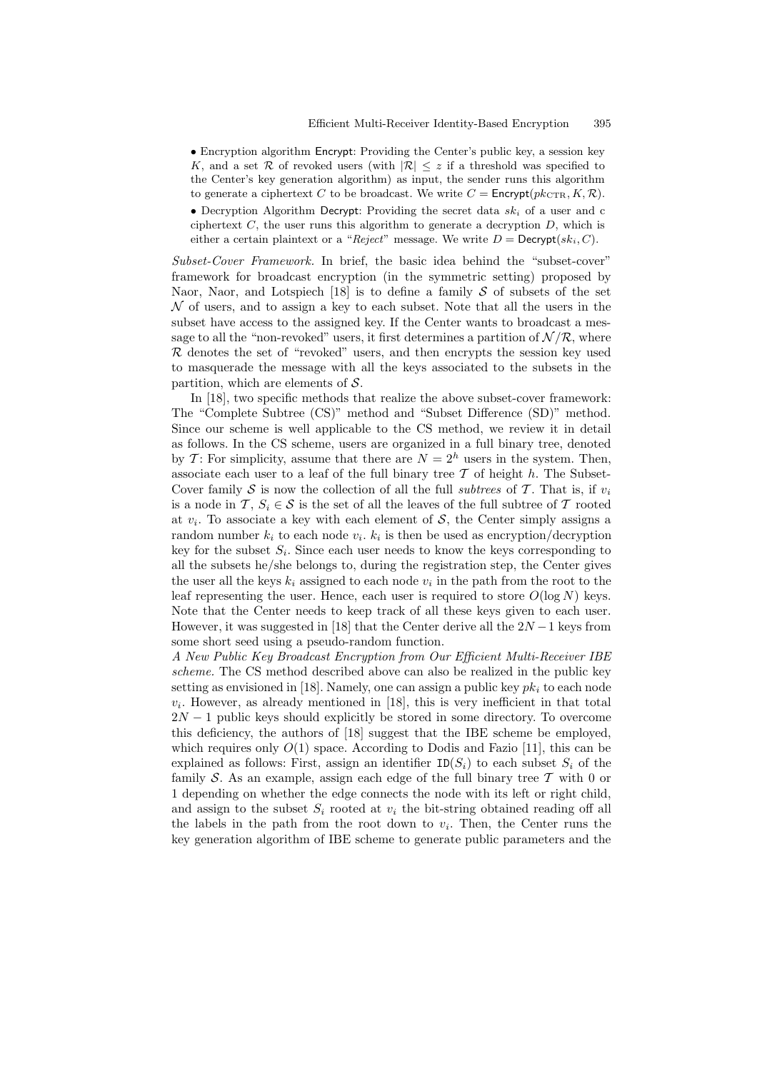- Encryption algorithm Encrypt: Providing the Center's public key, a session key K, and a set R of revoked users (with  $|\mathcal{R}| \leq z$  if a threshold was specified to the Center's key generation algorithm) as input, the sender runs this algorithm to generate a ciphertext C to be broadcast. We write  $C =$  Encrypt $(pk_{\text{CTR}}, K, \mathcal{R})$ .
- Decryption Algorithm Decrypt: Providing the secret data  $sk_i$  of a user and c ciphertext  $C$ , the user runs this algorithm to generate a decryption  $D$ , which is either a certain plaintext or a "Reject" message. We write  $D = \text{Decrypt}(sk_i, C)$ .

Subset-Cover Framework. In brief, the basic idea behind the "subset-cover" framework for broadcast encryption (in the symmetric setting) proposed by Naor, Naor, and Lotspiech [18] is to define a family  $S$  of subsets of the set  $\mathcal N$  of users, and to assign a key to each subset. Note that all the users in the subset have access to the assigned key. If the Center wants to broadcast a message to all the "non-revoked" users, it first determines a partition of  $\mathcal{N}/\mathcal{R}$ , where  $\mathcal R$  denotes the set of "revoked" users, and then encrypts the session key used to masquerade the message with all the keys associated to the subsets in the partition, which are elements of  $S$ .

In [18], two specific methods that realize the above subset-cover framework: The "Complete Subtree (CS)" method and "Subset Difference (SD)" method. Since our scheme is well applicable to the CS method, we review it in detail as follows. In the CS scheme, users are organized in a full binary tree, denoted by T: For simplicity, assume that there are  $N = 2<sup>h</sup>$  users in the system. Then, associate each user to a leaf of the full binary tree  $\mathcal T$  of height h. The Subset-Cover family S is now the collection of all the full *subtrees* of T. That is, if  $v_i$ is a node in T,  $S_i \in \mathcal{S}$  is the set of all the leaves of the full subtree of T rooted at  $v_i$ . To associate a key with each element of  $S$ , the Center simply assigns a random number  $k_i$  to each node  $v_i$ .  $k_i$  is then be used as encryption/decryption key for the subset  $S_i$ . Since each user needs to know the keys corresponding to all the subsets he/she belongs to, during the registration step, the Center gives the user all the keys  $k_i$  assigned to each node  $v_i$  in the path from the root to the leaf representing the user. Hence, each user is required to store  $O(\log N)$  keys. Note that the Center needs to keep track of all these keys given to each user. However, it was suggested in [18] that the Center derive all the  $2N-1$  keys from some short seed using a pseudo-random function.

A New Public Key Broadcast Encryption from Our Efficient Multi-Receiver IBE scheme. The CS method described above can also be realized in the public key setting as envisioned in [18]. Namely, one can assign a public key  $pk_i$  to each node  $v_i$ . However, as already mentioned in [18], this is very inefficient in that total  $2N-1$  public keys should explicitly be stored in some directory. To overcome this deficiency, the authors of [18] suggest that the IBE scheme be employed, which requires only  $O(1)$  space. According to Dodis and Fazio [11], this can be explained as follows: First, assign an identifier  $ID(S_i)$  to each subset  $S_i$  of the family S. As an example, assign each edge of the full binary tree  $\mathcal T$  with 0 or 1 depending on whether the edge connects the node with its left or right child, and assign to the subset  $S_i$  rooted at  $v_i$  the bit-string obtained reading off all the labels in the path from the root down to  $v_i$ . Then, the Center runs the key generation algorithm of IBE scheme to generate public parameters and the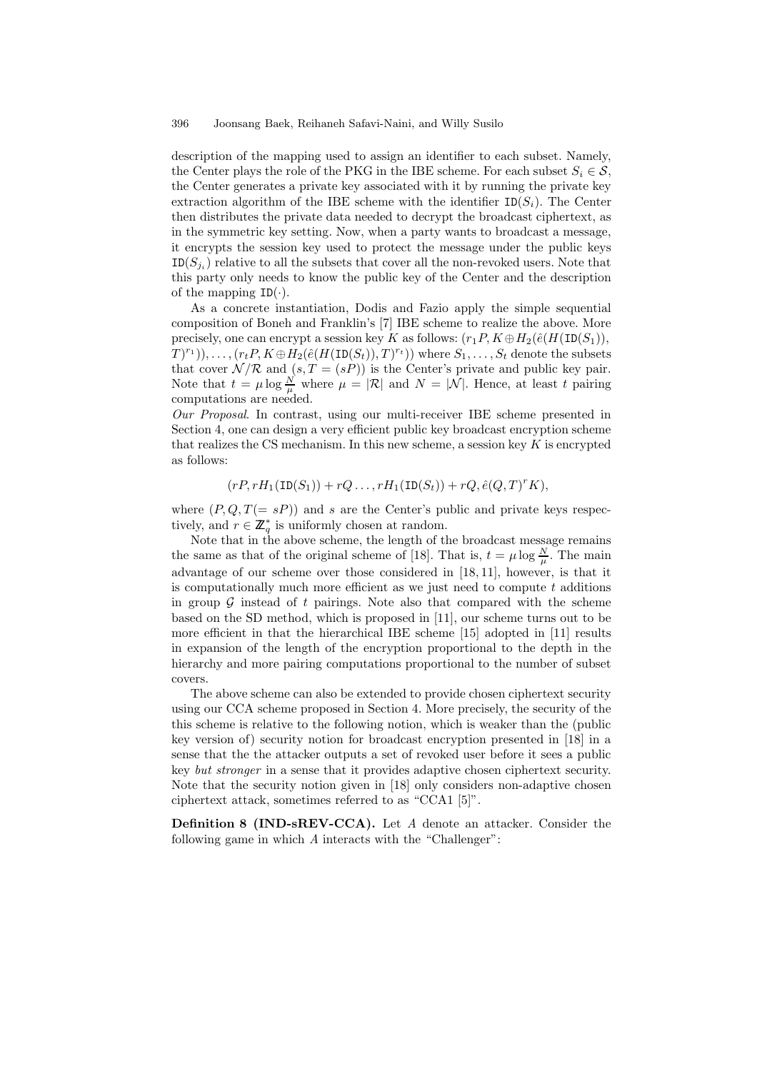description of the mapping used to assign an identifier to each subset. Namely, the Center plays the role of the PKG in the IBE scheme. For each subset  $S_i \in \mathcal{S}$ , the Center generates a private key associated with it by running the private key extraction algorithm of the IBE scheme with the identifier  $ID(S_i)$ . The Center then distributes the private data needed to decrypt the broadcast ciphertext, as in the symmetric key setting. Now, when a party wants to broadcast a message, it encrypts the session key used to protect the message under the public keys  $ID(S_{j_i})$  relative to all the subsets that cover all the non-revoked users. Note that this party only needs to know the public key of the Center and the description of the mapping  $ID(\cdot)$ .

As a concrete instantiation, Dodis and Fazio apply the simple sequential composition of Boneh and Franklin's [7] IBE scheme to realize the above. More precisely, one can encrypt a session key K as follows:  $(r_1P, K \oplus H_2(\hat{e}(H(\text{ID}(S_1))),$  $(T)^{r_1})), \ldots, (r_tP, K \oplus H_2(\hat{e}(H(\texttt{ID}(S_t)), T)^{r_t})) \text{ where } S_1, \ldots, S_t \text{ denote the subsets } \{f \in \texttt{In}(S_t)\}$ that cover  $\mathcal{N}/\mathcal{R}$  and  $(s, T = (sP))$  is the Center's private and public key pair. Note that  $t = \mu \log \frac{N}{\mu}$  where  $\mu = |\mathcal{R}|$  and  $N = |\mathcal{N}|$ . Hence, at least t pairing computations are needed.

Our Proposal. In contrast, using our multi-receiver IBE scheme presented in Section 4, one can design a very efficient public key broadcast encryption scheme that realizes the CS mechanism. In this new scheme, a session key  $K$  is encrypted as follows:

 $(rP, rH_1(ID(S_1)) + rQ \ldots, rH_1(ID(S_t)) + rQ, \hat{e}(Q, T)^r K),$ 

where  $(P, Q, T(= sP))$  and s are the Center's public and private keys respectively, and  $r \in \mathbb{Z}_q^*$  is uniformly chosen at random.

Note that in the above scheme, the length of the broadcast message remains the same as that of the original scheme of [18]. That is,  $t = \mu \log \frac{N}{\mu}$ . The main advantage of our scheme over those considered in [18, 11], however, is that it is computationally much more efficient as we just need to compute  $t$  additions in group  $\mathcal G$  instead of t pairings. Note also that compared with the scheme based on the SD method, which is proposed in [11], our scheme turns out to be more efficient in that the hierarchical IBE scheme [15] adopted in [11] results in expansion of the length of the encryption proportional to the depth in the hierarchy and more pairing computations proportional to the number of subset covers.

The above scheme can also be extended to provide chosen ciphertext security using our CCA scheme proposed in Section 4. More precisely, the security of the this scheme is relative to the following notion, which is weaker than the (public key version of) security notion for broadcast encryption presented in [18] in a sense that the the attacker outputs a set of revoked user before it sees a public key but stronger in a sense that it provides adaptive chosen ciphertext security. Note that the security notion given in [18] only considers non-adaptive chosen ciphertext attack, sometimes referred to as "CCA1 [5]".

Definition 8 (IND-sREV-CCA). Let A denote an attacker. Consider the following game in which A interacts with the "Challenger":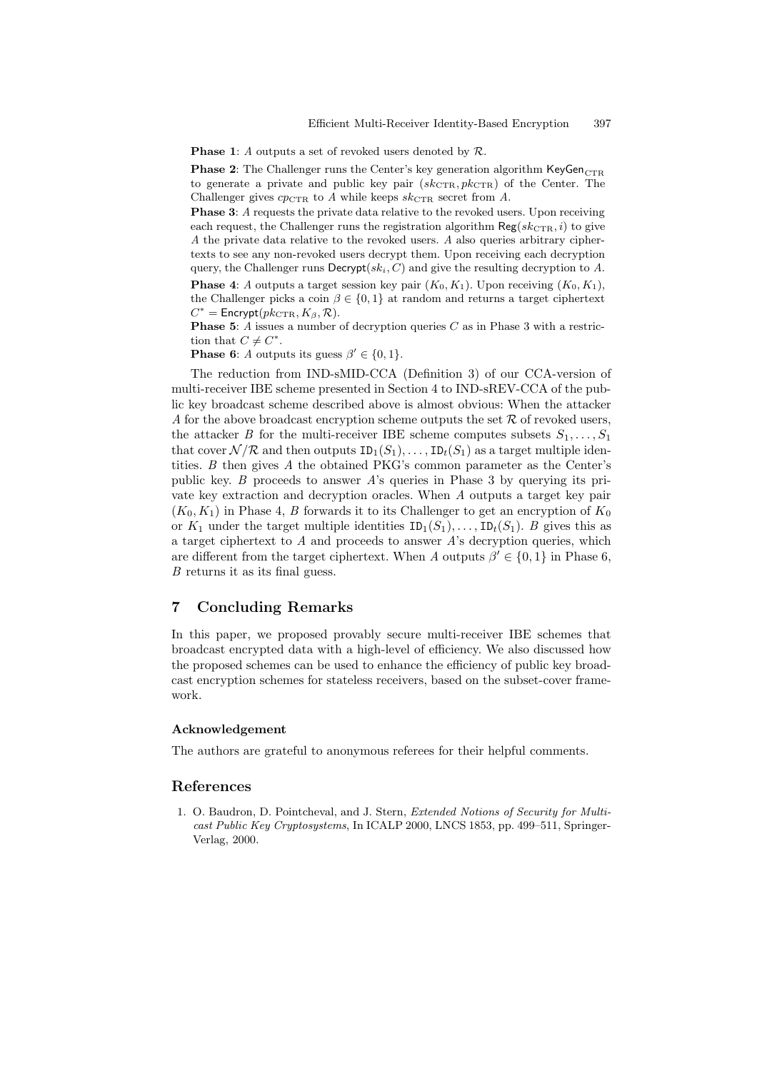**Phase 1:** A outputs a set of revoked users denoted by  $\mathcal{R}$ .

**Phase 2:** The Challenger runs the Center's key generation algorithm  $KeyGen_{CTR}$ to generate a private and public key pair  $(sk_{\text{CTR}}, pk_{\text{CTR}})$  of the Center. The Challenger gives  $c_{p_{\text{CTR}}}$  to A while keeps  $sk_{\text{CTR}}$  secret from A.

Phase 3: A requests the private data relative to the revoked users. Upon receiving each request, the Challenger runs the registration algorithm  $\text{Reg}(sk_{\text{CTR}}, i)$  to give A the private data relative to the revoked users. A also queries arbitrary ciphertexts to see any non-revoked users decrypt them. Upon receiving each decryption query, the Challenger runs  $\mathsf{Decrypt}(sk_i, C)$  and give the resulting decryption to A. **Phase 4:** A outputs a target session key pair  $(K_0, K_1)$ . Upon receiving  $(K_0, K_1)$ , the Challenger picks a coin  $\beta \in \{0,1\}$  at random and returns a target ciphertext  $C^* =$  Encrypt $(pk_{\text{CTR}}, K_\beta, \mathcal{R})$ .

**Phase 5:** A issues a number of decryption queries  $C$  as in Phase 3 with a restriction that  $C \neq C^*$ .

**Phase 6:** A outputs its guess  $\beta' \in \{0, 1\}.$ 

The reduction from IND-sMID-CCA (Definition 3) of our CCA-version of multi-receiver IBE scheme presented in Section 4 to IND-sREV-CCA of the public key broadcast scheme described above is almost obvious: When the attacker A for the above broadcast encryption scheme outputs the set  $\mathcal R$  of revoked users, the attacker B for the multi-receiver IBE scheme computes subsets  $S_1, \ldots, S_1$ that cover  $\mathcal{N}/\mathcal{R}$  and then outputs  $ID_1(S_1), \ldots, ID_t(S_1)$  as a target multiple identities. B then gives A the obtained PKG's common parameter as the Center's public key. B proceeds to answer A's queries in Phase 3 by querying its private key extraction and decryption oracles. When A outputs a target key pair  $(K_0, K_1)$  in Phase 4, B forwards it to its Challenger to get an encryption of  $K_0$ or  $K_1$  under the target multiple identities  $ID_1(S_1), \ldots, ID_t(S_1)$ . B gives this as a target ciphertext to  $A$  and proceeds to answer  $A$ 's decryption queries, which are different from the target ciphertext. When A outputs  $\beta' \in \{0,1\}$  in Phase 6, B returns it as its final guess.

## 7 Concluding Remarks

In this paper, we proposed provably secure multi-receiver IBE schemes that broadcast encrypted data with a high-level of efficiency. We also discussed how the proposed schemes can be used to enhance the efficiency of public key broadcast encryption schemes for stateless receivers, based on the subset-cover framework.

### Acknowledgement

The authors are grateful to anonymous referees for their helpful comments.

### References

1. O. Baudron, D. Pointcheval, and J. Stern, Extended Notions of Security for Multicast Public Key Cryptosystems, In ICALP 2000, LNCS 1853, pp. 499–511, Springer-Verlag, 2000.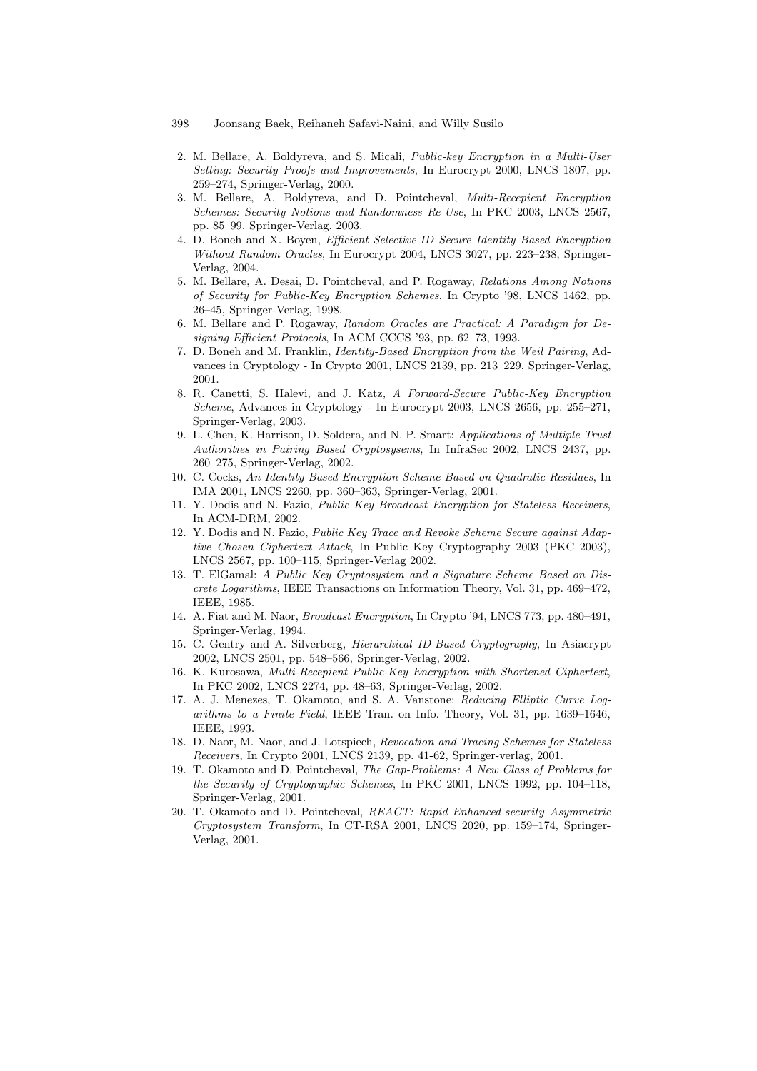- 2. M. Bellare, A. Boldyreva, and S. Micali, Public-key Encryption in a Multi-User Setting: Security Proofs and Improvements, In Eurocrypt 2000, LNCS 1807, pp. 259–274, Springer-Verlag, 2000.
- 3. M. Bellare, A. Boldyreva, and D. Pointcheval, Multi-Recepient Encryption Schemes: Security Notions and Randomness Re-Use, In PKC 2003, LNCS 2567, pp. 85–99, Springer-Verlag, 2003.
- 4. D. Boneh and X. Boyen, Efficient Selective-ID Secure Identity Based Encryption Without Random Oracles, In Eurocrypt 2004, LNCS 3027, pp. 223–238, Springer-Verlag, 2004.
- 5. M. Bellare, A. Desai, D. Pointcheval, and P. Rogaway, Relations Among Notions of Security for Public-Key Encryption Schemes, In Crypto '98, LNCS 1462, pp. 26–45, Springer-Verlag, 1998.
- 6. M. Bellare and P. Rogaway, Random Oracles are Practical: A Paradigm for Designing Efficient Protocols, In ACM CCCS '93, pp. 62–73, 1993.
- 7. D. Boneh and M. Franklin, Identity-Based Encryption from the Weil Pairing, Advances in Cryptology - In Crypto 2001, LNCS 2139, pp. 213–229, Springer-Verlag, 2001.
- 8. R. Canetti, S. Halevi, and J. Katz, A Forward-Secure Public-Key Encryption Scheme, Advances in Cryptology - In Eurocrypt 2003, LNCS 2656, pp. 255–271, Springer-Verlag, 2003.
- 9. L. Chen, K. Harrison, D. Soldera, and N. P. Smart: Applications of Multiple Trust Authorities in Pairing Based Cryptosysems, In InfraSec 2002, LNCS 2437, pp. 260–275, Springer-Verlag, 2002.
- 10. C. Cocks, An Identity Based Encryption Scheme Based on Quadratic Residues, In IMA 2001, LNCS 2260, pp. 360–363, Springer-Verlag, 2001.
- 11. Y. Dodis and N. Fazio, Public Key Broadcast Encryption for Stateless Receivers, In ACM-DRM, 2002.
- 12. Y. Dodis and N. Fazio, Public Key Trace and Revoke Scheme Secure against Adaptive Chosen Ciphertext Attack, In Public Key Cryptography 2003 (PKC 2003), LNCS 2567, pp. 100–115, Springer-Verlag 2002.
- 13. T. ElGamal: A Public Key Cryptosystem and a Signature Scheme Based on Discrete Logarithms, IEEE Transactions on Information Theory, Vol. 31, pp. 469–472, IEEE, 1985.
- 14. A. Fiat and M. Naor, Broadcast Encryption, In Crypto '94, LNCS 773, pp. 480–491, Springer-Verlag, 1994.
- 15. C. Gentry and A. Silverberg, Hierarchical ID-Based Cryptography, In Asiacrypt 2002, LNCS 2501, pp. 548–566, Springer-Verlag, 2002.
- 16. K. Kurosawa, Multi-Recepient Public-Key Encryption with Shortened Ciphertext, In PKC 2002, LNCS 2274, pp. 48–63, Springer-Verlag, 2002.
- 17. A. J. Menezes, T. Okamoto, and S. A. Vanstone: Reducing Elliptic Curve Logarithms to a Finite Field, IEEE Tran. on Info. Theory, Vol. 31, pp. 1639–1646, IEEE, 1993.
- 18. D. Naor, M. Naor, and J. Lotspiech, Revocation and Tracing Schemes for Stateless Receivers, In Crypto 2001, LNCS 2139, pp. 41-62, Springer-verlag, 2001.
- 19. T. Okamoto and D. Pointcheval, The Gap-Problems: A New Class of Problems for the Security of Cryptographic Schemes, In PKC 2001, LNCS 1992, pp. 104–118, Springer-Verlag, 2001.
- 20. T. Okamoto and D. Pointcheval, REACT: Rapid Enhanced-security Asymmetric Cryptosystem Transform, In CT-RSA 2001, LNCS 2020, pp. 159–174, Springer-Verlag, 2001.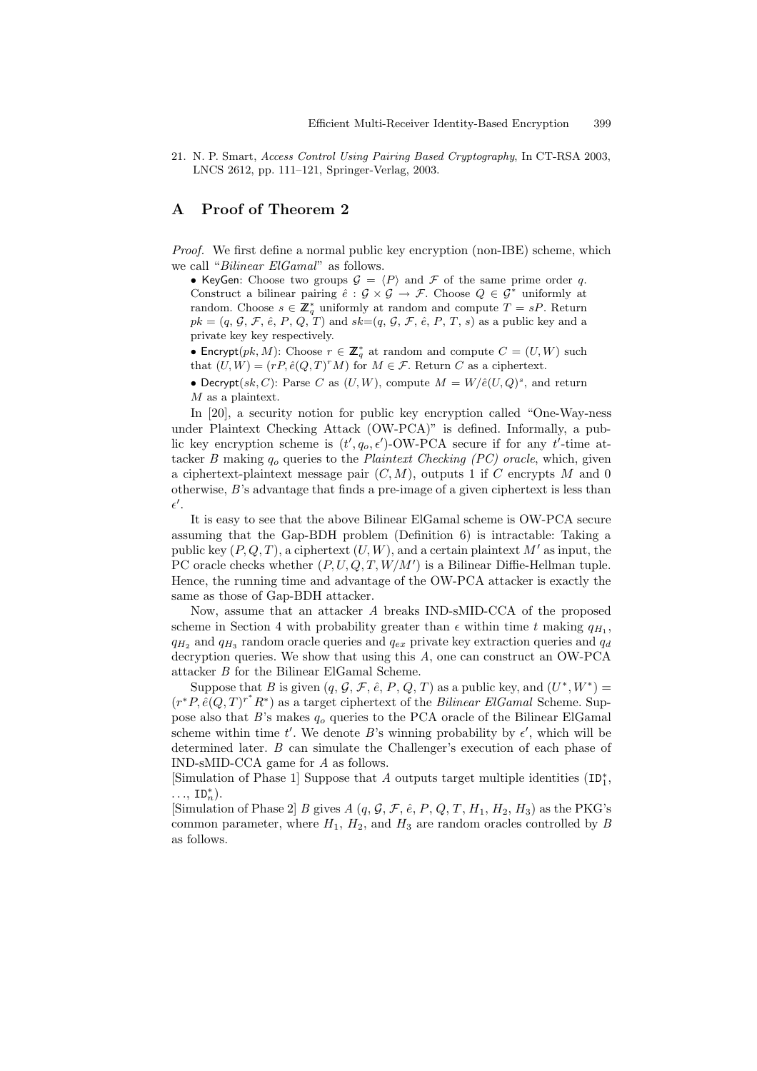21. N. P. Smart, Access Control Using Pairing Based Cryptography, In CT-RSA 2003, LNCS 2612, pp. 111–121, Springer-Verlag, 2003.

## A Proof of Theorem 2

Proof. We first define a normal public key encryption (non-IBE) scheme, which we call "Bilinear ElGamal" as follows.

• KeyGen: Choose two groups  $\mathcal{G} = \langle P \rangle$  and  $\mathcal F$  of the same prime order q. Construct a bilinear pairing  $\hat{e}: \mathcal{G} \times \mathcal{G} \to \mathcal{F}$ . Choose  $Q \in \mathcal{G}^*$  uniformly at random. Choose  $s \in \mathbb{Z}_q^*$  uniformly at random and compute  $T = sP$ . Return  $pk = (q, \mathcal{G}, \mathcal{F}, \hat{e}, P, Q, T)$  and  $sk=(q, \mathcal{G}, \mathcal{F}, \hat{e}, P, T, s)$  as a public key and a private key key respectively.

• Encrypt $(pk, M)$ : Choose  $r \in \mathbb{Z}_q^*$  at random and compute  $C = (U, W)$  such that  $(U, W) = (rP, \hat{e}(Q, T)^{r}M)$  for  $M \in \mathcal{F}$ . Return C as a ciphertext.

• Decrypt $(sk, C)$ : Parse C as  $(U, W)$ , compute  $M = W/\hat{e}(U, Q)^s$ , and return M as a plaintext.

In [20], a security notion for public key encryption called "One-Way-ness under Plaintext Checking Attack (OW-PCA)" is defined. Informally, a public key encryption scheme is  $(t', q_o, \epsilon')$ -OW-PCA secure if for any t'-time attacker B making  $q_o$  queries to the Plaintext Checking (PC) oracle, which, given a ciphertext-plaintext message pair  $(C, M)$ , outputs 1 if C encrypts M and 0 otherwise, B's advantage that finds a pre-image of a given ciphertext is less than  $\epsilon'.$ 

It is easy to see that the above Bilinear ElGamal scheme is OW-PCA secure assuming that the Gap-BDH problem (Definition 6) is intractable: Taking a public key  $(P, Q, T)$ , a ciphertext  $(U, W)$ , and a certain plaintext M' as input, the PC oracle checks whether  $(P, U, Q, T, W/M')$  is a Bilinear Diffie-Hellman tuple. Hence, the running time and advantage of the OW-PCA attacker is exactly the same as those of Gap-BDH attacker.

Now, assume that an attacker A breaks IND-sMID-CCA of the proposed scheme in Section 4 with probability greater than  $\epsilon$  within time t making  $q_{H_1}$ ,  $q_{H_2}$  and  $q_{H_3}$  random oracle queries and  $q_{ex}$  private key extraction queries and  $q_d$ decryption queries. We show that using this A, one can construct an OW-PCA attacker B for the Bilinear ElGamal Scheme.

Suppose that B is given  $(q, \mathcal{G}, \mathcal{F}, \hat{e}, P, Q, T)$  as a public key, and  $(U^*, W^*)$  =  $(r^*P, \hat{e}(Q, T)^{r^*}R^*)$  as a target ciphertext of the *Bilinear ElGamal* Scheme. Suppose also that  $B$ 's makes  $q_o$  queries to the PCA oracle of the Bilinear ElGamal scheme within time  $t'$ . We denote B's winning probability by  $\epsilon'$ , which will be determined later. B can simulate the Challenger's execution of each phase of IND-sMID-CCA game for A as follows.

[Simulation of Phase 1] Suppose that  $A$  outputs target multiple identities  $(ID_1^*$ ,  $\ldots, \text{ID}_n^*$ ).

[Simulation of Phase 2] B gives A  $(q, \mathcal{G}, \mathcal{F}, \hat{e}, P, Q, T, H_1, H_2, H_3)$  as the PKG's common parameter, where  $H_1$ ,  $H_2$ , and  $H_3$  are random oracles controlled by B as follows.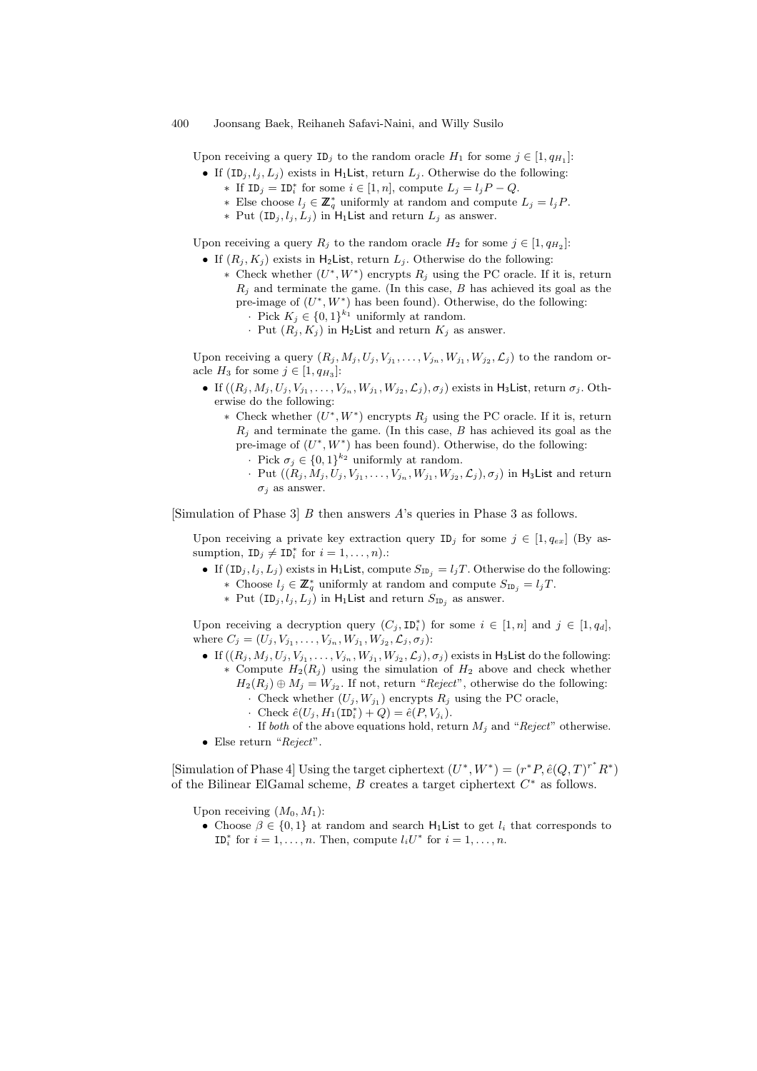Upon receiving a query  $ID_j$  to the random oracle  $H_1$  for some  $j \in [1, q_{H_1}]$ :

- If  $(ID_j, l_j, L_j)$  exists in H<sub>1</sub>List, return  $L_j$ . Otherwise do the following:
	- ∗ If  $ID_j = ID_i^*$  for some  $i \in [1, n]$ , compute  $L_j = l_j P Q$ .
	- ∗ Else choose  $l_j \in \mathbb{Z}_q^*$  uniformly at random and compute  $L_j = l_j P$ .
	- ∗ Put  $(ID_j, l_j, L_j)$  in H<sub>1</sub>List and return  $L_j$  as answer.

Upon receiving a query  $R_j$  to the random oracle  $H_2$  for some  $j \in [1, q_{H_2}]$ :

- If  $(R_j, K_j)$  exists in H<sub>2</sub>List, return  $L_j$ . Otherwise do the following:
	- ∗ Check whether  $(U^*, W^*)$  encrypts  $R_j$  using the PC oracle. If it is, return  $R_i$  and terminate the game. (In this case, B has achieved its goal as the pre-image of  $(U^*, W^*)$  has been found). Otherwise, do the following:
		- Pick  $K_j \in \{0,1\}^{k_1}$  uniformly at random.
		- · Put  $(R_j, K_j)$  in H<sub>2</sub>List and return  $K_j$  as answer.

Upon receiving a query  $(R_j, M_j, U_j, V_{j_1}, \ldots, V_{j_n}, W_{j_1}, W_{j_2}, \mathcal{L}_j)$  to the random oracle  $H_3$  for some  $j \in [1, q_{H_3}]:$ 

- If  $((R_j, M_j, U_j, V_{j_1}, \ldots, V_{j_n}, W_{j_1}, W_{j_2}, \mathcal{L}_j), \sigma_j)$  exists in H<sub>3</sub>List, return  $\sigma_j$ . Otherwise do the following:
	- ∗ Check whether  $(U^*, W^*)$  encrypts  $R_j$  using the PC oracle. If it is, return  $R_i$  and terminate the game. (In this case, B has achieved its goal as the pre-image of  $(U^*, W^*)$  has been found). Otherwise, do the following:
		- · Pick  $\sigma_j \in \{0,1\}^{k_2}$  uniformly at random.
		- Put  $((R_j, M_j, U_j, V_{j_1}, \ldots, V_{j_n}, W_{j_1}, W_{j_2}, \mathcal{L}_j), \sigma_j)$  in H<sub>3</sub>List and return  $\sigma_j$  as answer.

[Simulation of Phase 3] B then answers A's queries in Phase 3 as follows.

Upon receiving a private key extraction query  $ID_j$  for some  $j \in [1, q_{ex}]$  (By assumption,  $ID_j \neq ID_i^*$  for  $i = 1, ..., n$ ).:

- If  $(ID_j, l_j, L_j)$  exists in  $H_1$ List, compute  $S_{ID_i} = l_jT$ . Otherwise do the following: ∗ Choose  $l_j \in \mathbb{Z}_q^*$  uniformly at random and compute  $S_{\text{ID}_j} = l_jT$ .
	- ∗ Put  $(ID_j, l_j, L_j)$  in H<sub>1</sub>List and return  $S_{ID_j}$  as answer.

Upon receiving a decryption query  $(C_j, \text{ID}_i^*)$  for some  $i \in [1, n]$  and  $j \in [1, q_d]$ , where  $C_j = (U_j, V_{j_1}, \ldots, V_{j_n}, W_{j_1}, W_{j_2}, \mathcal{L}_j, \sigma_j)$ :

- If  $((R_j, M_j, U_j, V_{j_1}, \ldots, V_{j_n}, W_{j_1}, W_{j_2}, \mathcal{L}_j), \sigma_j)$  exists in  $H_3$ List do the following: ∗ Compute  $H_2(R_j)$  using the simulation of  $H_2$  above and check whether
	- $H_2(R_j) \oplus M_j = W_{j_2}$ . If not, return "Reject", otherwise do the following:  $\cdot$  Check whether  $(U_j, W_{j_1})$  encrypts  $R_j$  using the PC oracle,
		- Check  $\hat{e}(U_j, H_1(\text{ID}_i^*) + Q) = \hat{e}(P, V_{j_i}).$
		-
	- · If both of the above equations hold, return  $M_j$  and "Reject" otherwise.
- Else return "Reject".

[Simulation of Phase 4] Using the target ciphertext  $(U^*, W^*) = (r^*P, \hat{e}(Q, T)^{r^*}R^*)$ of the Bilinear ElGamal scheme, B creates a target ciphertext  $C^*$  as follows.

Upon receiving  $(M_0, M_1)$ :

• Choose  $\beta \in \{0,1\}$  at random and search  $H_1$ List to get  $l_i$  that corresponds to ID<sup>\*</sup> for  $i = 1, ..., n$ . Then, compute  $l_i U^*$  for  $i = 1, ..., n$ .